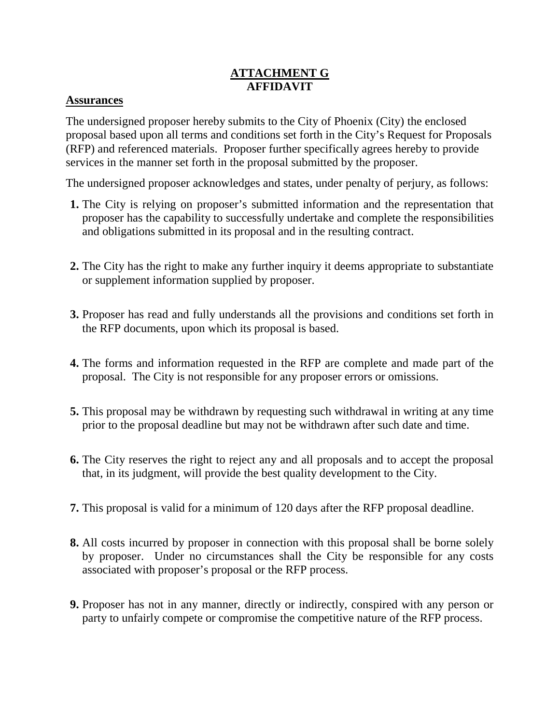## **ATTACHMENT G AFFIDAVIT**

## **Assurances**

The undersigned proposer hereby submits to the City of Phoenix (City) the enclosed proposal based upon all terms and conditions set forth in the City's Request for Proposals (RFP) and referenced materials. Proposer further specifically agrees hereby to provide services in the manner set forth in the proposal submitted by the proposer.

The undersigned proposer acknowledges and states, under penalty of perjury, as follows:

- **1.** The City is relying on proposer's submitted information and the representation that proposer has the capability to successfully undertake and complete the responsibilities and obligations submitted in its proposal and in the resulting contract.
- **2.** The City has the right to make any further inquiry it deems appropriate to substantiate or supplement information supplied by proposer.
- **3.** Proposer has read and fully understands all the provisions and conditions set forth in the RFP documents, upon which its proposal is based.
- **4.** The forms and information requested in the RFP are complete and made part of the proposal. The City is not responsible for any proposer errors or omissions.
- **5.** This proposal may be withdrawn by requesting such withdrawal in writing at any time prior to the proposal deadline but may not be withdrawn after such date and time.
- **6.** The City reserves the right to reject any and all proposals and to accept the proposal that, in its judgment, will provide the best quality development to the City.
- **7.** This proposal is valid for a minimum of 120 days after the RFP proposal deadline.
- **8.** All costs incurred by proposer in connection with this proposal shall be borne solely by proposer. Under no circumstances shall the City be responsible for any costs associated with proposer's proposal or the RFP process.
- **9.** Proposer has not in any manner, directly or indirectly, conspired with any person or party to unfairly compete or compromise the competitive nature of the RFP process.